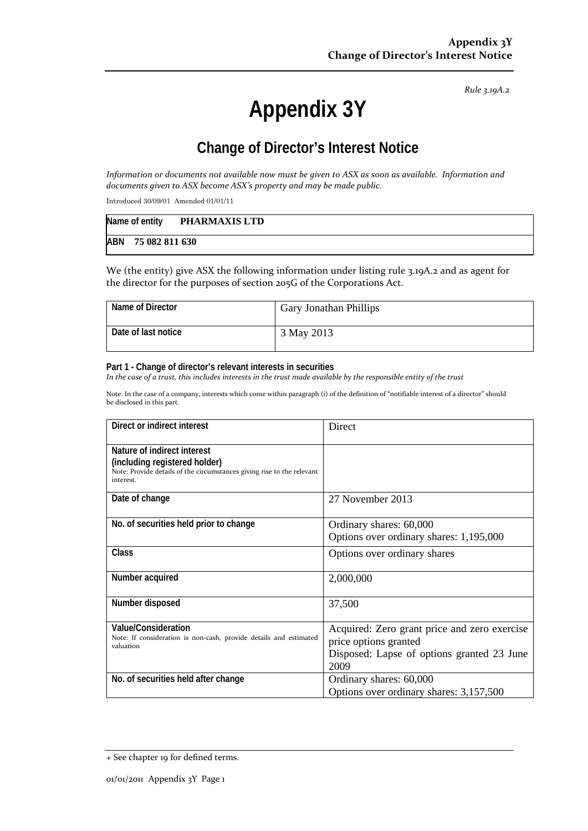*Rule 3.19A.2*

# **Appendix 3Y**

# **Change of Director's Interest Notice**

Information or documents not available now must be given to ASX as soon as available. Information and *documents given to ASX become ASX's property and may be made public.*

Introduced 30/09/01 Amended 01/01/11

| Name of entity     | PHARMAXIS LTD |
|--------------------|---------------|
| ABN 75 082 811 630 |               |

We (the entity) give ASX the following information under listing rule 3.19A.2 and as agent for the director for the purposes of section 205G of the Corporations Act.

| Name of Director    | <b>Gary Jonathan Phillips</b> |
|---------------------|-------------------------------|
| Date of last notice | 3 May 2013                    |

#### **Part 1 - Change of director's relevant interests in securities**

In the case of a trust, this includes interests in the trust made available by the responsible entity of the trust

Note: In the case of a company, interests which come within paragraph (i) of the definition of "notifiable interest of a director" should be disclosed in this part.

| Direct or indirect interest                                                                                                                         | Direct                                                                                                                      |
|-----------------------------------------------------------------------------------------------------------------------------------------------------|-----------------------------------------------------------------------------------------------------------------------------|
| Nature of indirect interest<br>(including registered holder)<br>Note: Provide details of the circumstances giving rise to the relevant<br>interest. |                                                                                                                             |
| Date of change                                                                                                                                      | 27 November 2013                                                                                                            |
| No. of securities held prior to change                                                                                                              | Ordinary shares: 60,000<br>Options over ordinary shares: 1,195,000                                                          |
| Class                                                                                                                                               | Options over ordinary shares                                                                                                |
| Number acquired                                                                                                                                     | 2,000,000                                                                                                                   |
| Number disposed                                                                                                                                     | 37,500                                                                                                                      |
| <b>Value/Consideration</b><br>Note: If consideration is non-cash, provide details and estimated<br>valuation                                        | Acquired: Zero grant price and zero exercise<br>price options granted<br>Disposed: Lapse of options granted 23 June<br>2009 |
| No. of securities held after change                                                                                                                 | Ordinary shares: 60,000<br>Options over ordinary shares: 3,157,500                                                          |

<sup>+</sup> See chapter 19 for defined terms.